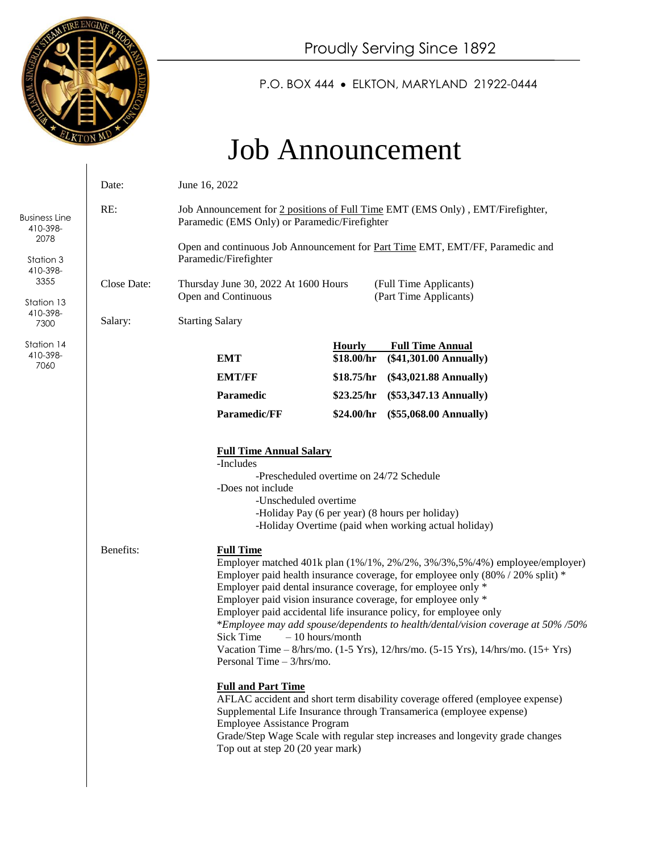

 $\overline{\phantom{a}}$ 

P.O. BOX 444 ELKTON, MARYLAND 21922-0444

# Job Announcement

|                                                                         | Date:                                                                                                                                                                                                                                            | June 16, 2022                                                                                                                                                                                                                                                                                                                                                                                                                                                                                                                                                                                                                           |                             |                                                             |
|-------------------------------------------------------------------------|--------------------------------------------------------------------------------------------------------------------------------------------------------------------------------------------------------------------------------------------------|-----------------------------------------------------------------------------------------------------------------------------------------------------------------------------------------------------------------------------------------------------------------------------------------------------------------------------------------------------------------------------------------------------------------------------------------------------------------------------------------------------------------------------------------------------------------------------------------------------------------------------------------|-----------------------------|-------------------------------------------------------------|
| <b>Business Line</b><br>410-398-                                        | RE:                                                                                                                                                                                                                                              | Job Announcement for 2 positions of Full Time EMT (EMS Only), EMT/Firefighter,<br>Paramedic (EMS Only) or Paramedic/Firefighter<br>Open and continuous Job Announcement for Part Time EMT, EMT/FF, Paramedic and<br>Paramedic/Firefighter<br>Thursday June 30, 2022 At 1600 Hours<br>(Full Time Applicants)<br>(Part Time Applicants)<br>Open and Continuous<br><b>Starting Salary</b>                                                                                                                                                                                                                                                  |                             |                                                             |
| 2078<br>Station 3<br>410-398-<br>3355<br>Station 13<br>410-398-<br>7300 |                                                                                                                                                                                                                                                  |                                                                                                                                                                                                                                                                                                                                                                                                                                                                                                                                                                                                                                         |                             |                                                             |
|                                                                         | Close Date:                                                                                                                                                                                                                                      |                                                                                                                                                                                                                                                                                                                                                                                                                                                                                                                                                                                                                                         |                             |                                                             |
|                                                                         | Salary:                                                                                                                                                                                                                                          |                                                                                                                                                                                                                                                                                                                                                                                                                                                                                                                                                                                                                                         |                             |                                                             |
| Station 14<br>410-398-<br>7060                                          |                                                                                                                                                                                                                                                  | <b>EMT</b>                                                                                                                                                                                                                                                                                                                                                                                                                                                                                                                                                                                                                              | <b>Hourly</b><br>\$18.00/hr | <b>Full Time Annual</b><br>$(\$41,301.00 \text{ Annually})$ |
|                                                                         |                                                                                                                                                                                                                                                  | <b>EMT/FF</b>                                                                                                                                                                                                                                                                                                                                                                                                                                                                                                                                                                                                                           | \$18.75/hr                  | $(\$43,021.88$ Annually)                                    |
|                                                                         |                                                                                                                                                                                                                                                  | Paramedic                                                                                                                                                                                                                                                                                                                                                                                                                                                                                                                                                                                                                               | \$23.25/hr                  | $(\$53,347.13$ Annually)                                    |
|                                                                         |                                                                                                                                                                                                                                                  | Paramedic/FF                                                                                                                                                                                                                                                                                                                                                                                                                                                                                                                                                                                                                            | \$24.00/hr                  | $(\$55,068.00 \text{ Annually})$                            |
|                                                                         | <b>Full Time Annual Salary</b><br>-Includes<br>-Prescheduled overtime on 24/72 Schedule<br>-Does not include<br>-Unscheduled overtime<br>-Holiday Pay (6 per year) (8 hours per holiday)<br>-Holiday Overtime (paid when working actual holiday) |                                                                                                                                                                                                                                                                                                                                                                                                                                                                                                                                                                                                                                         |                             |                                                             |
|                                                                         | Benefits:                                                                                                                                                                                                                                        | <b>Full Time</b><br>Employer matched 401k plan (1%/1%, 2%/2%, 3%/3%, 5%/4%) employee/employer)<br>Employer paid health insurance coverage, for employee only (80% / 20% split) *<br>Employer paid dental insurance coverage, for employee only *<br>Employer paid vision insurance coverage, for employee only *<br>Employer paid accidental life insurance policy, for employee only<br>*Employee may add spouse/dependents to health/dental/vision coverage at 50%/50%<br><b>Sick Time</b><br>$-10$ hours/month<br>Vacation Time $- 8/hrs/mo$ . (1-5 Yrs), 12/hrs/mo. (5-15 Yrs), 14/hrs/mo. (15+ Yrs)<br>Personal Time $-3/hrs/mo$ . |                             |                                                             |
|                                                                         |                                                                                                                                                                                                                                                  | <b>Full and Part Time</b><br>AFLAC accident and short term disability coverage offered (employee expense)<br>Supplemental Life Insurance through Transamerica (employee expense)<br><b>Employee Assistance Program</b><br>Grade/Step Wage Scale with regular step increases and longevity grade changes<br>Top out at step 20 (20 year mark)                                                                                                                                                                                                                                                                                            |                             |                                                             |